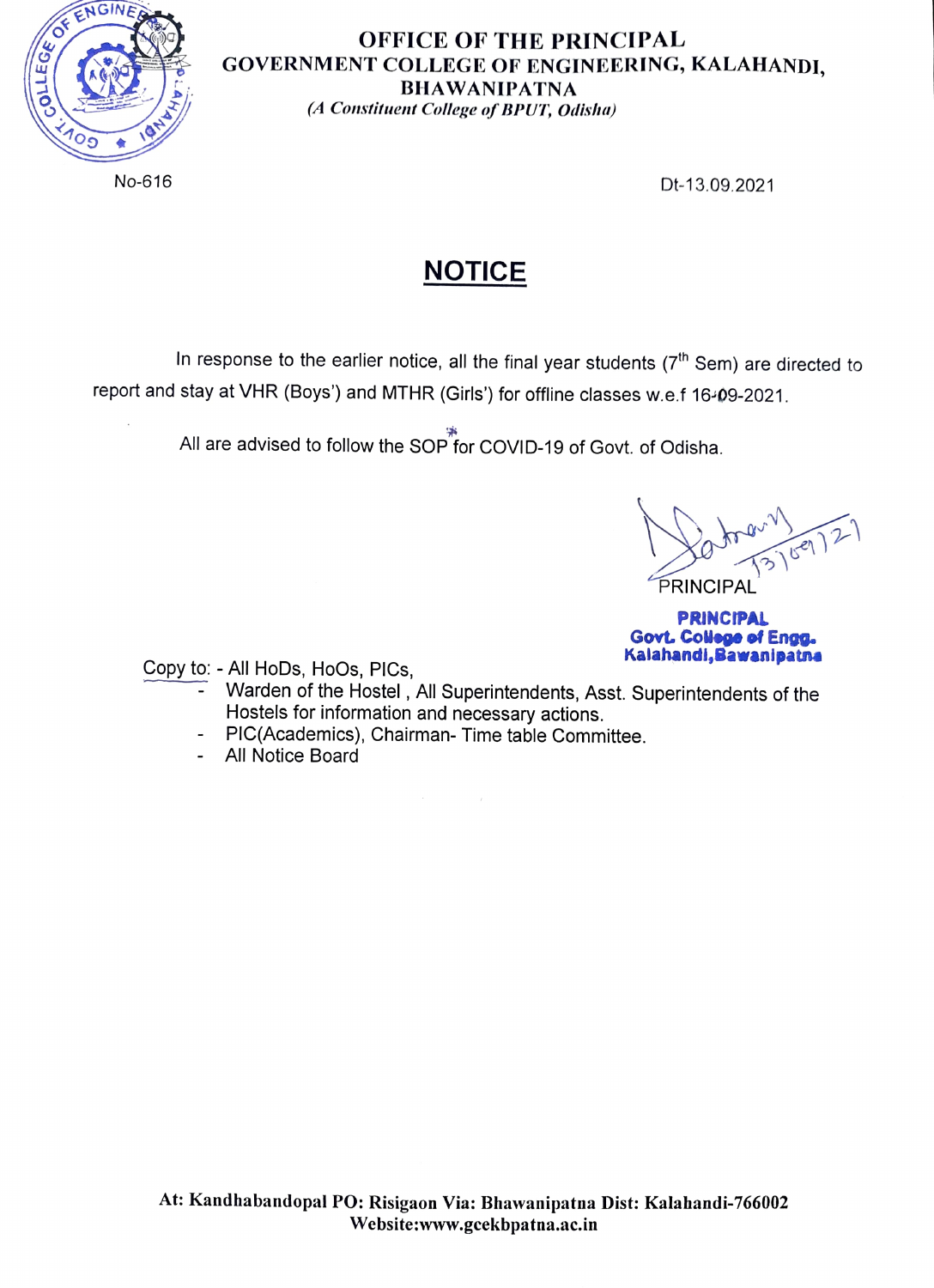

## OFFICE OF THE PRINCIPAL GOVERNMENT COLLEGE OF ENGINEERING, KALAHANDI, BHAWANIPATNA A Constituent College of BPUT, Odisha)

No-616 Dt-13.09.2021

## NOTICE

In response to the earlier notice, all the final year students  $(7<sup>th</sup>$  Sem) are directed to report and stay at VHR (Boys') and MTHR (Girls') for offline classes w.e.f 16-09-2021

All are advised to follow the SOP for coVID-19 of Govt. of Odisha.

Datoe PRINCIPAL  $x^{\omega\sqrt{}}\sqrt{3^{180}}$ 

PRINCIPAL **Govt. College of Engg.**<br>Kalahandi, Bawanipatna

Copy to: - All HoDs, HoOs, PICs,

- Warden of the Hostel, All Superintendents, Asst. Superintendents of the Hostels for information and necessary actions.
- PIC(Academics), Chairman- Time table Committee.
- All Notice Board